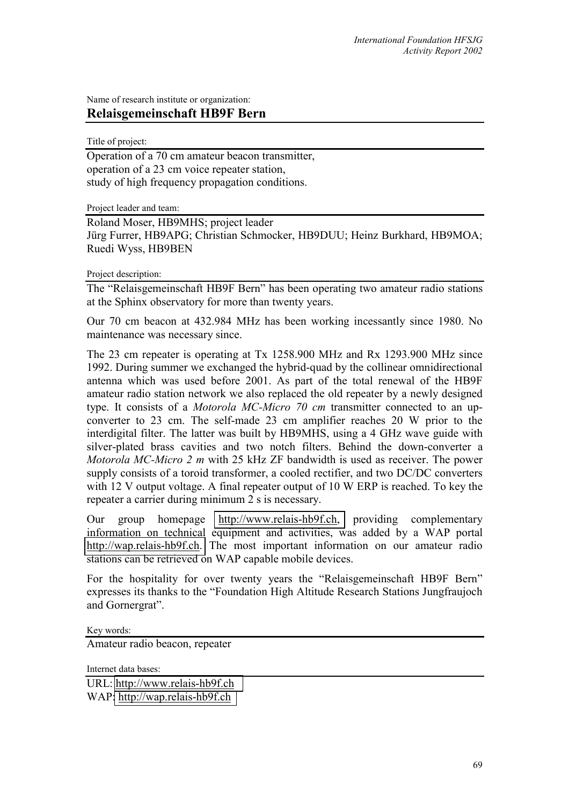Name of research institute or organization: **Relaisgemeinschaft HB9F Bern** 

Title of project:

Operation of a 70 cm amateur beacon transmitter, operation of a 23 cm voice repeater station, study of high frequency propagation conditions.

Project leader and team:

Roland Moser, HB9MHS; project leader Jürg Furrer, HB9APG; Christian Schmocker, HB9DUU; Heinz Burkhard, HB9MOA; Ruedi Wyss, HB9BEN

Project description:

The "Relaisgemeinschaft HB9F Bern" has been operating two amateur radio stations at the Sphinx observatory for more than twenty years.

Our 70 cm beacon at 432.984 MHz has been working incessantly since 1980. No maintenance was necessary since.

The 23 cm repeater is operating at Tx 1258.900 MHz and Rx 1293.900 MHz since 1992. During summer we exchanged the hybrid-quad by the collinear omnidirectional antenna which was used before 2001. As part of the total renewal of the HB9F amateur radio station network we also replaced the old repeater by a newly designed type. It consists of a *Motorola MC-Micro 70 cm* transmitter connected to an upconverter to 23 cm. The self-made 23 cm amplifier reaches 20 W prior to the interdigital filter. The latter was built by HB9MHS, using a 4 GHz wave guide with silver-plated brass cavities and two notch filters. Behind the down-converter a *Motorola MC-Micro 2 m* with 25 kHz ZF bandwidth is used as receiver. The power supply consists of a toroid transformer, a cooled rectifier, and two DC/DC converters with 12 V output voltage. A final repeater output of 10 W ERP is reached. To key the repeater a carrier during minimum 2 s is necessary.

Our group homepage [http://www.relais-hb9f.ch,](http://www.relais-hb9f.ch/) providing complementary information on technical equipment and activities, was added by a WAP portal [http://wap.relais-hb9f.ch.](http://wap.relais-hb9f.ch/) The most important information on our amateur radio stations can be retrieved on WAP capable mobile devices.

For the hospitality for over twenty years the "Relaisgemeinschaft HB9F Bern" expresses its thanks to the "Foundation High Altitude Research Stations Jungfraujoch and Gornergrat".

Key words:

Amateur radio beacon, repeater

Internet data bases:

URL: [http://www.relais-hb9f.ch](http://www.relais-hb9f.ch/) WAP[: http://wap.relais-hb9f.ch](http://wap.relais-hb9f.ch/)